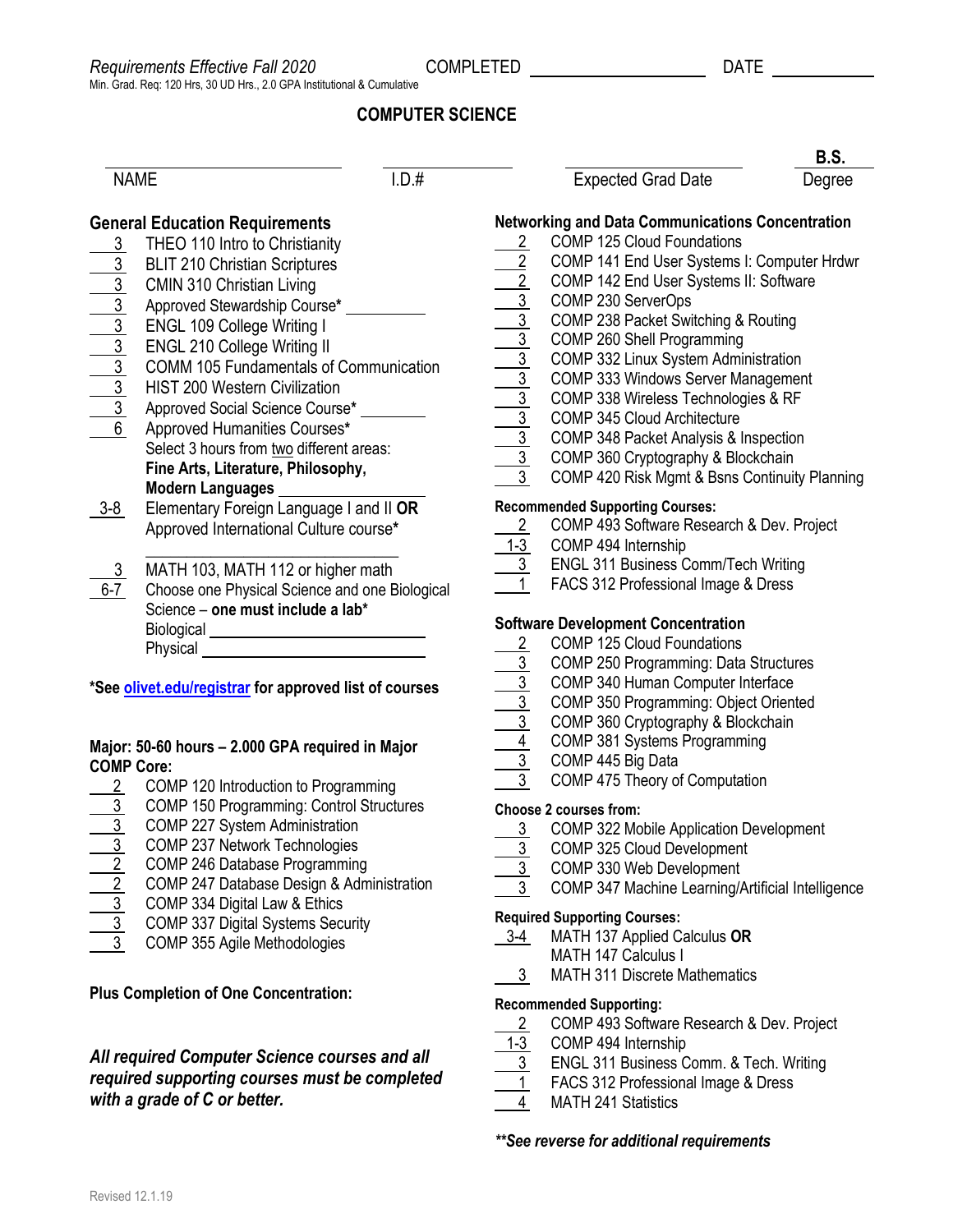# **COMPUTER SCIENCE**

|                                                               |                                                                                                                                                                                                                                                                                                                                                                                                                                                                                                                                         |                       |                                                                                                                                                                                                                                                                                                                                                                                                                                                                                                                                                               | <b>B.S.</b> |
|---------------------------------------------------------------|-----------------------------------------------------------------------------------------------------------------------------------------------------------------------------------------------------------------------------------------------------------------------------------------------------------------------------------------------------------------------------------------------------------------------------------------------------------------------------------------------------------------------------------------|-----------------------|---------------------------------------------------------------------------------------------------------------------------------------------------------------------------------------------------------------------------------------------------------------------------------------------------------------------------------------------------------------------------------------------------------------------------------------------------------------------------------------------------------------------------------------------------------------|-------------|
| 1.D.#<br><b>NAME</b>                                          |                                                                                                                                                                                                                                                                                                                                                                                                                                                                                                                                         |                       | <b>Expected Grad Date</b>                                                                                                                                                                                                                                                                                                                                                                                                                                                                                                                                     | Degree      |
| 3                                                             | <b>General Education Requirements</b><br>THEO 110 Intro to Christianity<br><b>BLIT 210 Christian Scriptures</b><br><b>CMIN 310 Christian Living</b><br>Approved Stewardship Course*<br><b>ENGL 109 College Writing I</b><br><b>ENGL 210 College Writing II</b><br><b>COMM 105 Fundamentals of Communication</b><br><b>HIST 200 Western Civilization</b><br>Approved Social Science Course*<br>Approved Humanities Courses*<br>Select 3 hours from two different areas:<br>Fine Arts, Literature, Philosophy,<br><b>Modern Languages</b> |                       | <b>Networking and Data Communications Concentration</b><br>COMP 125 Cloud Foundations<br>COMP 141 End User Systems I: Computer Hrdwr<br>COMP 142 End User Systems II: Software<br>COMP 230 ServerOps<br>COMP 238 Packet Switching & Routing<br>COMP 260 Shell Programming<br>COMP 332 Linux System Administration<br>COMP 333 Windows Server Management<br>COMP 338 Wireless Technologies & RF<br>COMP 345 Cloud Architecture<br>COMP 348 Packet Analysis & Inspection<br>COMP 360 Cryptography & Blockchain<br>COMP 420 Risk Mgmt & Bsns Continuity Planning |             |
| $3 - 8$                                                       | Elementary Foreign Language I and II OR<br>Approved International Culture course*                                                                                                                                                                                                                                                                                                                                                                                                                                                       | $\frac{1-3}{3}$       | <b>Recommended Supporting Courses:</b><br>COMP 493 Software Research & Dev. Project<br>COMP 494 Internship                                                                                                                                                                                                                                                                                                                                                                                                                                                    |             |
| $6-7$                                                         | MATH 103, MATH 112 or higher math<br>Choose one Physical Science and one Biological<br>Science - one must include a lab*                                                                                                                                                                                                                                                                                                                                                                                                                |                       | <b>ENGL 311 Business Comm/Tech Writing</b><br>FACS 312 Professional Image & Dress                                                                                                                                                                                                                                                                                                                                                                                                                                                                             |             |
|                                                               | Biological ________________________________                                                                                                                                                                                                                                                                                                                                                                                                                                                                                             |                       | <b>Software Development Concentration</b>                                                                                                                                                                                                                                                                                                                                                                                                                                                                                                                     |             |
|                                                               | Physical                                                                                                                                                                                                                                                                                                                                                                                                                                                                                                                                | $\mathbf{2}^{\prime}$ | <b>COMP 125 Cloud Foundations</b>                                                                                                                                                                                                                                                                                                                                                                                                                                                                                                                             |             |
| *See <b>olivet.edu/registrar</b> for approved list of courses |                                                                                                                                                                                                                                                                                                                                                                                                                                                                                                                                         | $\overline{3}$        | COMP 250 Programming: Data Structures<br>COMP 340 Human Computer Interface<br>COMP 350 Programming: Object Oriented<br>COMP 360 Cryptography & Blockchain                                                                                                                                                                                                                                                                                                                                                                                                     |             |

### **Major: 50-60 hours – 2.000 GPA required in Major COMP Core:**

- 2 COMP 120 Introduction to Programming
- 3 COMP 150 Programming: Control Structures
- 3 COMP 227 System Administration
- 
- 3 COMP 237 Network Technologies<br>2 COMP 246 Database Programming
- $\overline{2}$  COMP 246 Database Programming<br>2 COMP 247 Database Design & Adm 2 COMP 247 Database Design & Administration
- 3 COMP 334 Digital Law & Ethics
- 3 COMP 337 Digital Systems Security
- 3 COMP 355 Agile Methodologies

## **Plus Completion of One Concentration:**

## *All required Computer Science courses and all required supporting courses must be completed with a grade of C or better.*

# 3 COMP 445 Big Data 3 COMP 475 Theory of Computation **Choose 2 courses from:** 3 COMP 322 Mobile Application Development 3 COMP 325 Cloud Development 3 COMP 330 Web Development 3 COMP 347 Machine Learning/Artificial Intelligence **Required Supporting Courses:**

4 COMP 381 Systems Programming

- 3-4 MATH 137 Applied Calculus **OR**
	- MATH 147 Calculus I
- 3 MATH 311 Discrete Mathematics

#### **Recommended Supporting:**

- 2 COMP 493 Software Research & Dev. Project
- 1-3 COMP 494 Internship
- 3 ENGL 311 Business Comm. & Tech. Writing
- 1 FACS 312 Professional Image & Dress
- 4 MATH 241 Statistics

#### *\*\*See reverse for additional requirements*